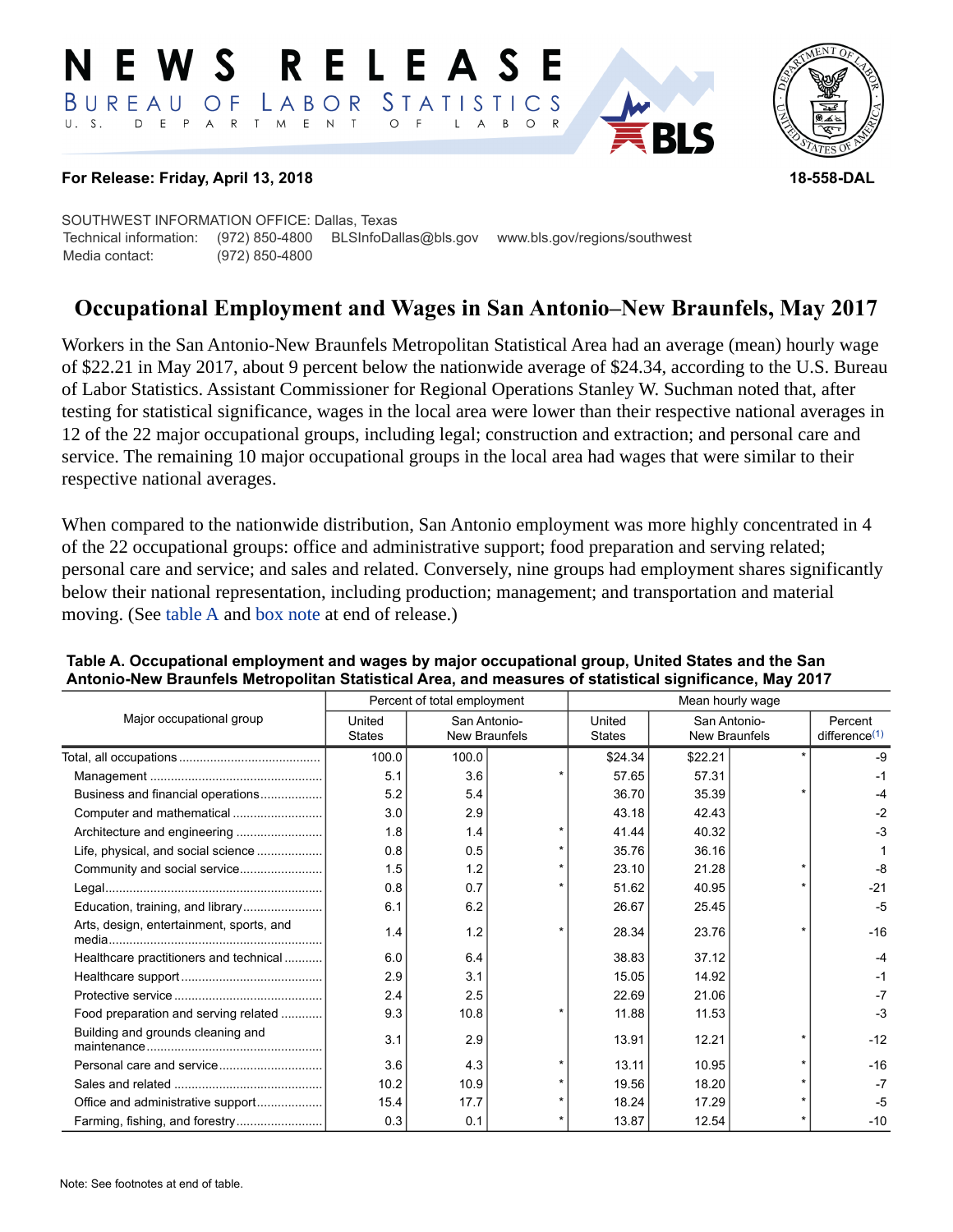#### RELEASE E W S LABOR STATISTICS BUREAU OF D E P A R T M E N T  $\circ$  $U. S.$  $\overline{F}$  $B$  $\circ$  $\mathsf{L}$  $\overline{A}$



### **For Release: Friday, April 13, 2018 18-558-DAL**

SOUTHWEST INFORMATION OFFICE: Dallas, Texas Technical information: (972) 850-4800 BLSInfoDallas@bls.gov www.bls.gov/regions/southwest Media contact: (972) 850-4800

# **Occupational Employment and Wages in San Antonio–New Braunfels, May 2017**

Workers in the San Antonio-New Braunfels Metropolitan Statistical Area had an average (mean) hourly wage of \$22.21 in May 2017, about 9 percent below the nationwide average of \$24.34, according to the U.S. Bureau of Labor Statistics. Assistant Commissioner for Regional Operations Stanley W. Suchman noted that, after testing for statistical significance, wages in the local area were lower than their respective national averages in 12 of the 22 major occupational groups, including legal; construction and extraction; and personal care and service. The remaining 10 major occupational groups in the local area had wages that were similar to their respective national averages.

When compared to the nationwide distribution, San Antonio employment was more highly concentrated in 4 of the 22 occupational groups: office and administrative support; food preparation and serving related; personal care and service; and sales and related. Conversely, nine groups had employment shares significantly below their national representation, including production; management; and transportation and material moving. (See [table A](#page-0-0) and [box note](#page-2-0) at end of release.)

|                                          | Percent of total employment |                                      |         | Mean hourly wage        |                                      |                      |                                      |
|------------------------------------------|-----------------------------|--------------------------------------|---------|-------------------------|--------------------------------------|----------------------|--------------------------------------|
| Major occupational group                 | United<br><b>States</b>     | San Antonio-<br><b>New Braunfels</b> |         | United<br><b>States</b> | San Antonio-<br><b>New Braunfels</b> |                      | Percent<br>difference <sup>(1)</sup> |
|                                          | 100.0                       | 100.0                                |         | \$24.34                 | \$22.21                              | $\ddot{\phantom{0}}$ | $-9$                                 |
|                                          | 5.1                         | 3.6                                  |         | 57.65                   | 57.31                                |                      | -1                                   |
| Business and financial operations        | 5.2                         | 5.4                                  |         | 36.70                   | 35.39                                |                      | -4                                   |
|                                          | 3.0                         | 2.9                                  |         | 43.18                   | 42.43                                |                      | $-2$                                 |
|                                          | 1.8                         | 1.4                                  |         | 41.44                   | 40.32                                |                      | $-3$                                 |
| Life, physical, and social science       | 0.8                         | 0.5                                  |         | 35.76                   | 36.16                                |                      |                                      |
|                                          | 1.5                         | 1.2                                  | $\star$ | 23.10                   | 21.28                                |                      | -8                                   |
|                                          | 0.8                         | 0.7                                  |         | 51.62                   | 40.95                                |                      | $-21$                                |
|                                          | 6.1                         | 6.2                                  |         | 26.67                   | 25.45                                |                      | $-5$                                 |
| Arts, design, entertainment, sports, and | 1.4                         | 1.2                                  |         | 28.34                   | 23.76                                |                      | $-16$                                |
| Healthcare practitioners and technical   | 6.0                         | 6.4                                  |         | 38.83                   | 37.12                                |                      | $-4$                                 |
|                                          | 2.9                         | 3.1                                  |         | 15.05                   | 14.92                                |                      | -1                                   |
|                                          | 2.4                         | 2.5                                  |         | 22.69                   | 21.06                                |                      | $-7$                                 |
| Food preparation and serving related     | 9.3                         | 10.8                                 |         | 11.88                   | 11.53                                |                      | $-3$                                 |
| Building and grounds cleaning and        | 3.1                         | 2.9                                  |         | 13.91                   | 12.21                                |                      | $-12$                                |
|                                          | 3.6                         | 4.3                                  |         | 13.11                   | 10.95                                |                      | $-16$                                |
|                                          | 10.2                        | 10.9                                 |         | 19.56                   | 18.20                                |                      | $-7$                                 |
| Office and administrative support        | 15.4                        | 17.7                                 |         | 18.24                   | 17.29                                |                      | $-5$                                 |
| Farming, fishing, and forestry           | 0.3                         | 0.1                                  |         | 13.87                   | 12.54                                |                      | $-10$                                |

### <span id="page-0-0"></span>**Table A. Occupational employment and wages by major occupational group, United States and the San Antonio-New Braunfels Metropolitan Statistical Area, and measures of statistical significance, May 2017**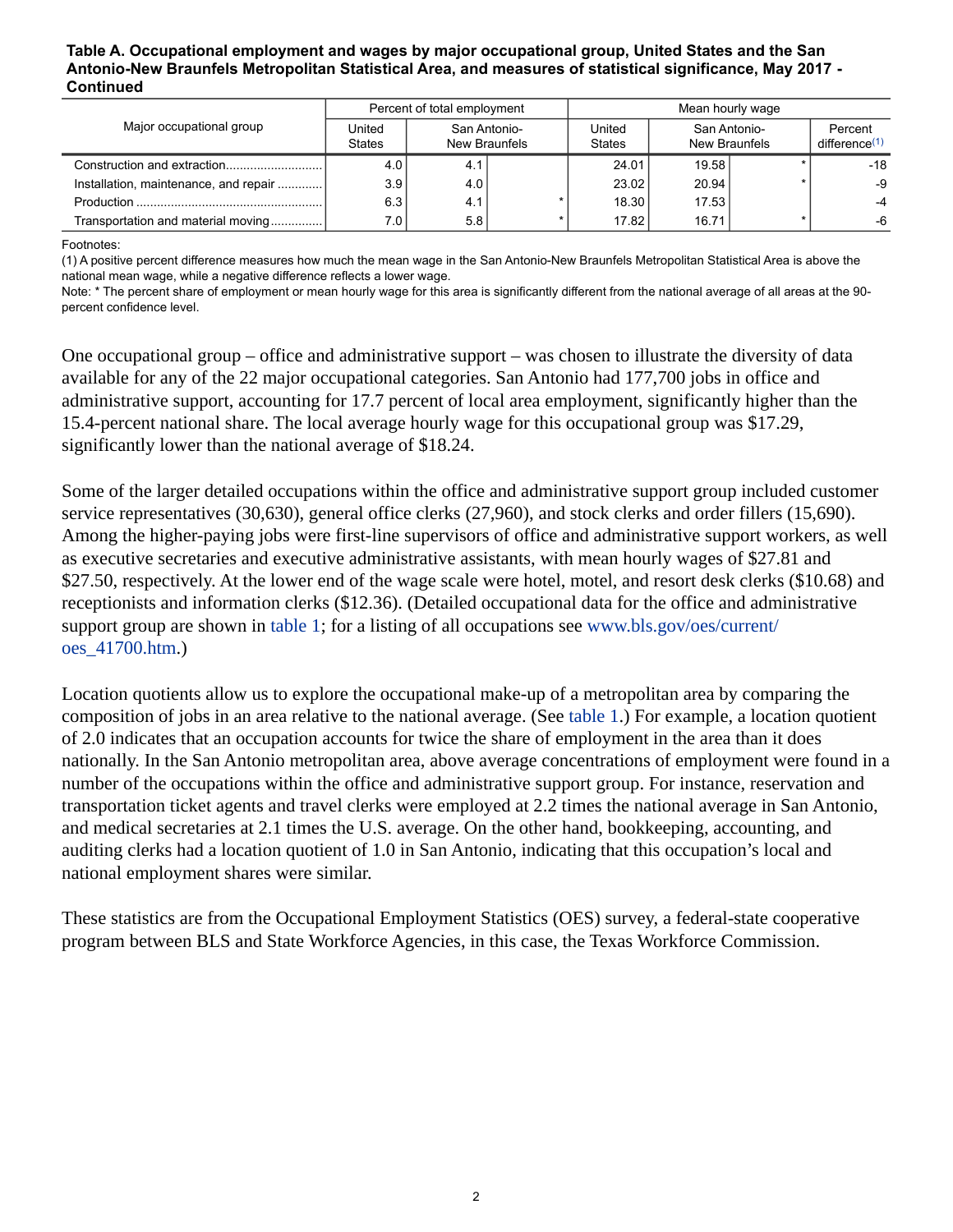#### **Table A. Occupational employment and wages by major occupational group, United States and the San Antonio-New Braunfels Metropolitan Statistical Area, and measures of statistical significance, May 2017 - Continued**

|                                       | Percent of total employment |                               |  | Mean hourly wage        |                               |  |                                      |
|---------------------------------------|-----------------------------|-------------------------------|--|-------------------------|-------------------------------|--|--------------------------------------|
| Major occupational group              | United<br><b>States</b>     | San Antonio-<br>New Braunfels |  | United<br><b>States</b> | San Antonio-<br>New Braunfels |  | Percent<br>difference <sup>(1)</sup> |
|                                       | 4.0                         | 4.1                           |  | 24.01                   | 19.58                         |  | $-18$                                |
| Installation, maintenance, and repair | 3.9                         | 4.0                           |  | 23.02                   | 20.94                         |  | -9                                   |
|                                       | 6.3                         | 4.1                           |  | 18.30                   | 17.53                         |  |                                      |
| Transportation and material moving    | 7.01                        | 5.8                           |  | 17.82                   | 16.71                         |  | -6                                   |

<span id="page-1-0"></span>Footnotes:

(1) A positive percent difference measures how much the mean wage in the San Antonio-New Braunfels Metropolitan Statistical Area is above the national mean wage, while a negative difference reflects a lower wage.

Note: \* The percent share of employment or mean hourly wage for this area is significantly different from the national average of all areas at the 90 percent confidence level.

One occupational group – office and administrative support – was chosen to illustrate the diversity of data available for any of the 22 major occupational categories. San Antonio had 177,700 jobs in office and administrative support, accounting for 17.7 percent of local area employment, significantly higher than the 15.4-percent national share. The local average hourly wage for this occupational group was \$17.29, significantly lower than the national average of \$18.24.

Some of the larger detailed occupations within the office and administrative support group included customer service representatives (30,630), general office clerks (27,960), and stock clerks and order fillers (15,690). Among the higher-paying jobs were first-line supervisors of office and administrative support workers, as well as executive secretaries and executive administrative assistants, with mean hourly wages of \$27.81 and \$27.50, respectively. At the lower end of the wage scale were hotel, motel, and resort desk clerks (\$10.68) and receptionists and information clerks (\$12.36). (Detailed occupational data for the office and administrative support group are shown in [table 1](#page-4-0); for a listing of all occupations see [www.bls.gov/oes/current/](https://www.bls.gov/oes/current/oes_41700.htm) [oes\\_41700.htm](https://www.bls.gov/oes/current/oes_41700.htm).)

Location quotients allow us to explore the occupational make-up of a metropolitan area by comparing the composition of jobs in an area relative to the national average. (See [table 1.](#page-4-0)) For example, a location quotient of 2.0 indicates that an occupation accounts for twice the share of employment in the area than it does nationally. In the San Antonio metropolitan area, above average concentrations of employment were found in a number of the occupations within the office and administrative support group. For instance, reservation and transportation ticket agents and travel clerks were employed at 2.2 times the national average in San Antonio, and medical secretaries at 2.1 times the U.S. average. On the other hand, bookkeeping, accounting, and auditing clerks had a location quotient of 1.0 in San Antonio, indicating that this occupation's local and national employment shares were similar.

These statistics are from the Occupational Employment Statistics (OES) survey, a federal-state cooperative program between BLS and State Workforce Agencies, in this case, the Texas Workforce Commission.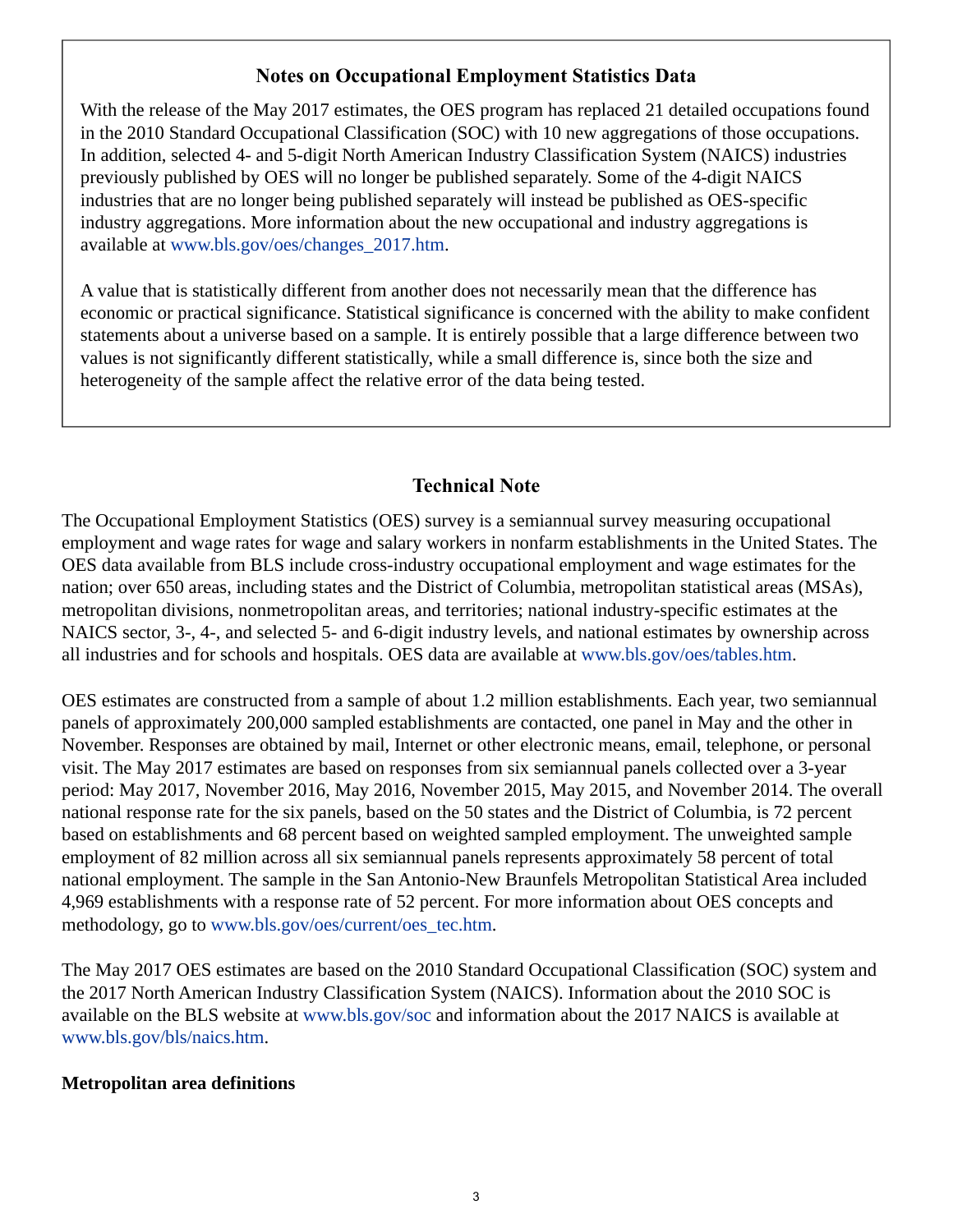## **Notes on Occupational Employment Statistics Data**

<span id="page-2-0"></span>With the release of the May 2017 estimates, the OES program has replaced 21 detailed occupations found in the 2010 Standard Occupational Classification (SOC) with 10 new aggregations of those occupations. In addition, selected 4- and 5-digit North American Industry Classification System (NAICS) industries previously published by OES will no longer be published separately. Some of the 4-digit NAICS industries that are no longer being published separately will instead be published as OES-specific industry aggregations. More information about the new occupational and industry aggregations is available at [www.bls.gov/oes/changes\\_2017.htm.](https://www.bls.gov/oes/changes_2017.htm)

A value that is statistically different from another does not necessarily mean that the difference has economic or practical significance. Statistical significance is concerned with the ability to make confident statements about a universe based on a sample. It is entirely possible that a large difference between two values is not significantly different statistically, while a small difference is, since both the size and heterogeneity of the sample affect the relative error of the data being tested.

# **Technical Note**

The Occupational Employment Statistics (OES) survey is a semiannual survey measuring occupational employment and wage rates for wage and salary workers in nonfarm establishments in the United States. The OES data available from BLS include cross-industry occupational employment and wage estimates for the nation; over 650 areas, including states and the District of Columbia, metropolitan statistical areas (MSAs), metropolitan divisions, nonmetropolitan areas, and territories; national industry-specific estimates at the NAICS sector, 3-, 4-, and selected 5- and 6-digit industry levels, and national estimates by ownership across all industries and for schools and hospitals. OES data are available at [www.bls.gov/oes/tables.htm](https://www.bls.gov/oes/tables.htm).

OES estimates are constructed from a sample of about 1.2 million establishments. Each year, two semiannual panels of approximately 200,000 sampled establishments are contacted, one panel in May and the other in November. Responses are obtained by mail, Internet or other electronic means, email, telephone, or personal visit. The May 2017 estimates are based on responses from six semiannual panels collected over a 3-year period: May 2017, November 2016, May 2016, November 2015, May 2015, and November 2014. The overall national response rate for the six panels, based on the 50 states and the District of Columbia, is 72 percent based on establishments and 68 percent based on weighted sampled employment. The unweighted sample employment of 82 million across all six semiannual panels represents approximately 58 percent of total national employment. The sample in the San Antonio-New Braunfels Metropolitan Statistical Area included 4,969 establishments with a response rate of 52 percent. For more information about OES concepts and methodology, go to [www.bls.gov/oes/current/oes\\_tec.htm](https://www.bls.gov/oes/current/oes_tec.htm).

The May 2017 OES estimates are based on the 2010 Standard Occupational Classification (SOC) system and the 2017 North American Industry Classification System (NAICS). Information about the 2010 SOC is available on the BLS website at [www.bls.gov/soc](https://www.bls.gov/soc) and information about the 2017 NAICS is available at [www.bls.gov/bls/naics.htm.](https://www.bls.gov/bls/naics.htm)

### **Metropolitan area definitions**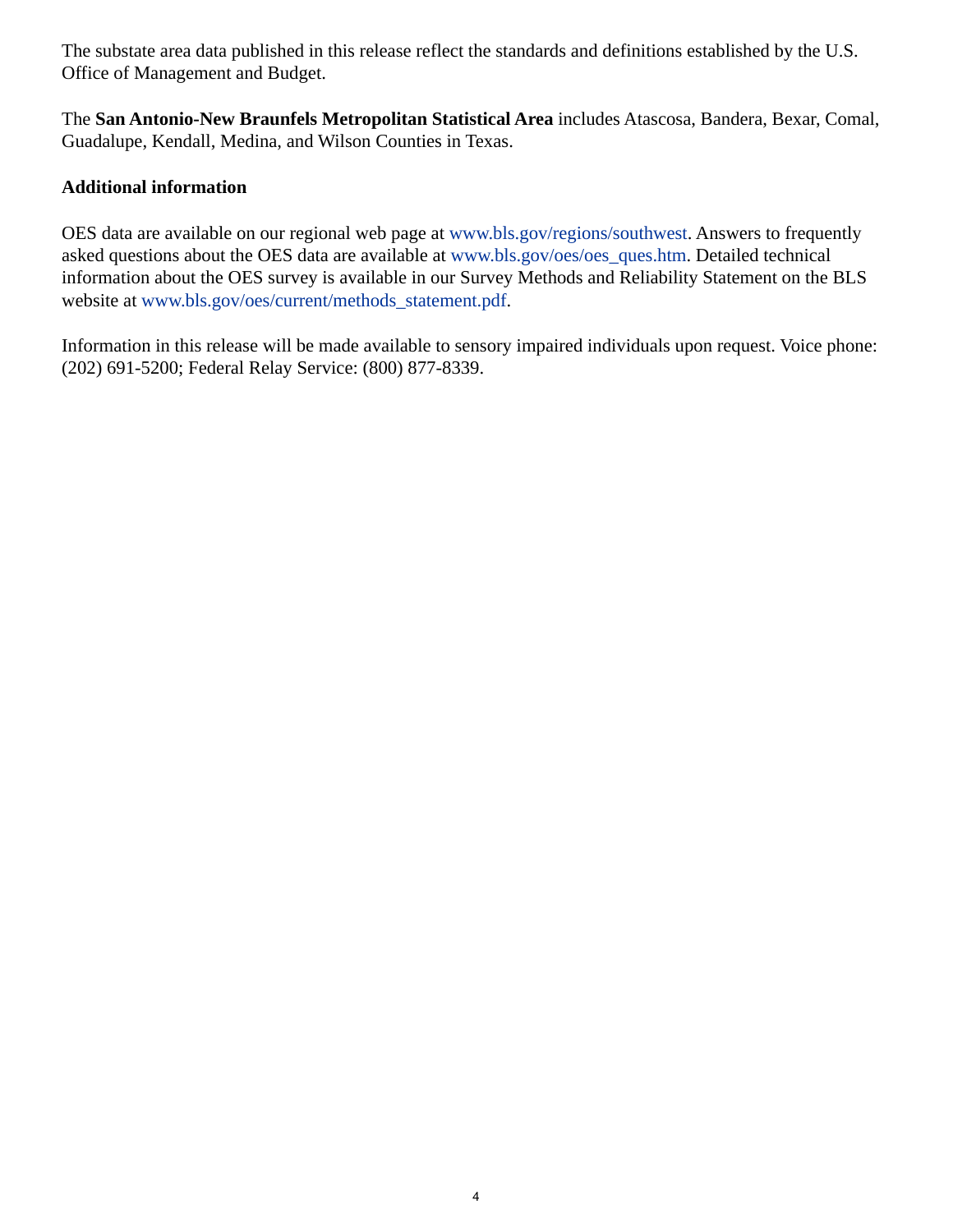The substate area data published in this release reflect the standards and definitions established by the U.S. Office of Management and Budget.

The **San Antonio-New Braunfels Metropolitan Statistical Area** includes Atascosa, Bandera, Bexar, Comal, Guadalupe, Kendall, Medina, and Wilson Counties in Texas.

### **Additional information**

OES data are available on our regional web page at [www.bls.gov/regions/southwest.](https://www.bls.gov/regions/southwest) Answers to frequently asked questions about the OES data are available at [www.bls.gov/oes/oes\\_ques.htm](https://www.bls.gov/oes/oes_ques.htm). Detailed technical information about the OES survey is available in our Survey Methods and Reliability Statement on the BLS website at [www.bls.gov/oes/current/methods\\_statement.pdf.](https://www.bls.gov/oes/current/methods_statement.pdf)

Information in this release will be made available to sensory impaired individuals upon request. Voice phone: (202) 691-5200; Federal Relay Service: (800) 877-8339.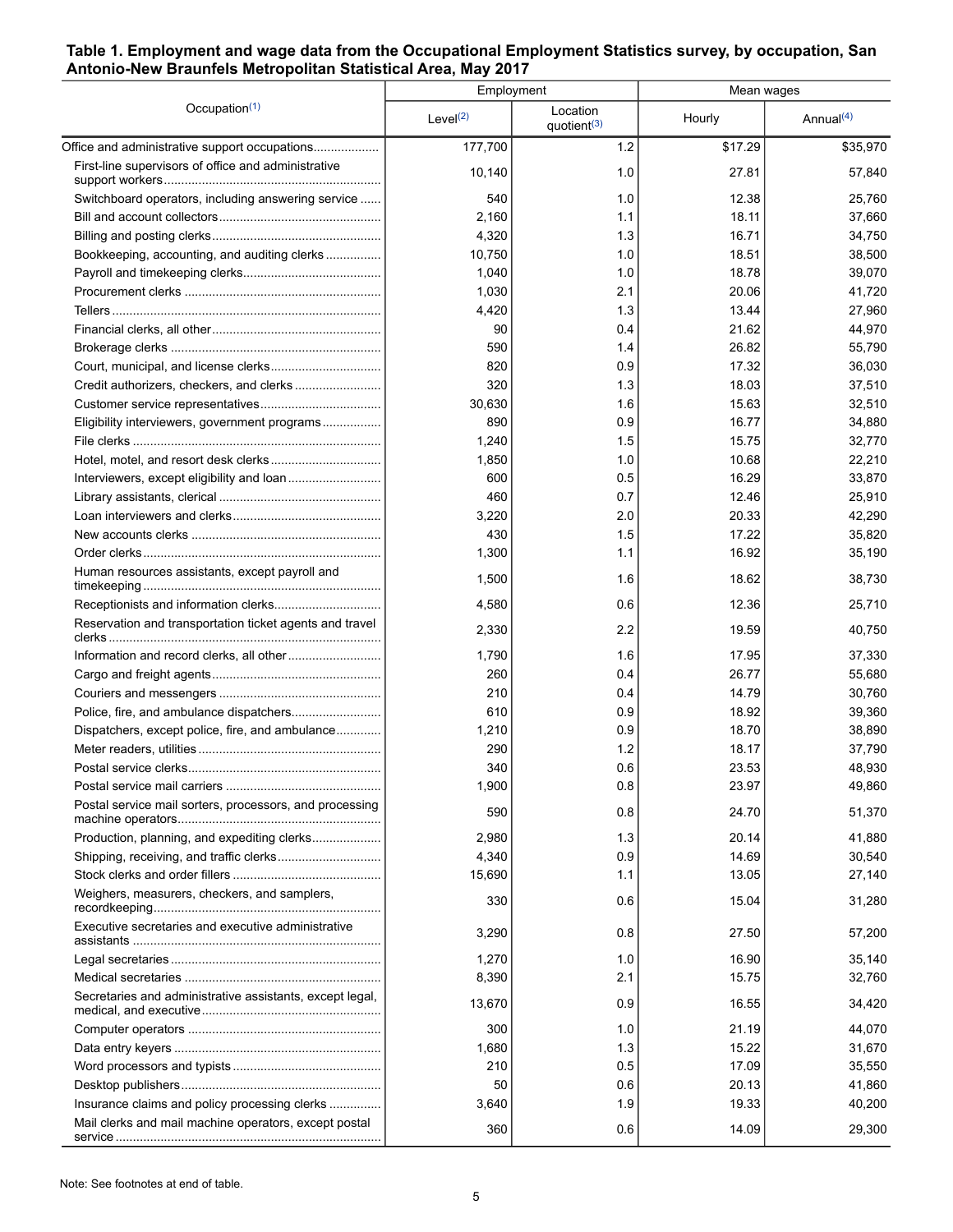### <span id="page-4-0"></span>**Table 1. Employment and wage data from the Occupational Employment Statistics survey, by occupation, San Antonio-New Braunfels Metropolitan Statistical Area, May 2017**

|                                                          |             | Employment                          | Mean wages |                       |  |
|----------------------------------------------------------|-------------|-------------------------------------|------------|-----------------------|--|
| Occupation $(1)$                                         | Level $(2)$ | Location<br>quotient <sup>(3)</sup> | Hourly     | Annual <sup>(4)</sup> |  |
| Office and administrative support occupations            | 177,700     | 1.2                                 | \$17.29    | \$35,970              |  |
| First-line supervisors of office and administrative      | 10.140      | 1.0                                 | 27.81      | 57,840                |  |
| Switchboard operators, including answering service       | 540         | 1.0                                 | 12.38      | 25,760                |  |
|                                                          | 2,160       | 1.1                                 | 18.11      | 37,660                |  |
|                                                          | 4,320       | 1.3                                 | 16.71      | 34,750                |  |
| Bookkeeping, accounting, and auditing clerks             | 10,750      | 1.0                                 | 18.51      | 38,500                |  |
|                                                          | 1,040       | 1.0                                 | 18.78      | 39,070                |  |
|                                                          | 1,030       | 2.1                                 | 20.06      | 41,720                |  |
|                                                          | 4,420       | 1.3                                 | 13.44      | 27,960                |  |
|                                                          | 90          | 0.4                                 | 21.62      | 44,970                |  |
|                                                          | 590         | 1.4                                 | 26.82      | 55,790                |  |
|                                                          | 820         | 0.9                                 | 17.32      | 36,030                |  |
|                                                          | 320         | 1.3                                 | 18.03      | 37,510                |  |
|                                                          | 30,630      | 1.6                                 | 15.63      | 32,510                |  |
| Eligibility interviewers, government programs            | 890         | 0.9                                 | 16.77      | 34,880                |  |
|                                                          | 1,240       | 1.5                                 | 15.75      | 32,770                |  |
|                                                          | 1,850       | 1.0                                 | 10.68      | 22,210                |  |
|                                                          | 600         | 0.5                                 | 16.29      | 33,870                |  |
|                                                          | 460         | 0.7                                 | 12.46      | 25,910                |  |
|                                                          | 3,220       | 2.0                                 | 20.33      | 42,290                |  |
|                                                          | 430         | 1.5                                 | 17.22      | 35,820                |  |
|                                                          | 1,300       | 1.1                                 | 16.92      | 35,190                |  |
| Human resources assistants, except payroll and           | 1,500       | 1.6                                 | 18.62      | 38,730                |  |
|                                                          | 4,580       | 0.6                                 | 12.36      | 25,710                |  |
| Reservation and transportation ticket agents and travel  | 2,330       | 2.2                                 | 19.59      | 40,750                |  |
|                                                          | 1,790       | 1.6                                 | 17.95      | 37,330                |  |
|                                                          | 260         | 0.4                                 | 26.77      | 55,680                |  |
|                                                          | 210         | 0.4                                 | 14.79      | 30,760                |  |
|                                                          | 610         | 0.9                                 | 18.92      | 39,360                |  |
| Dispatchers, except police, fire, and ambulance          | 1,210       | 0.9                                 | 18.70      | 38,890                |  |
|                                                          | 290         | 1.2                                 | 18.17      | 37,790                |  |
|                                                          | 340         | 0.6                                 | 23.53      | 48,930                |  |
|                                                          | 1,900       | 0.8                                 | 23.97      | 49,860                |  |
| Postal service mail sorters, processors, and processing  | 590         | 0.8                                 | 24.70      | 51,370                |  |
| Production, planning, and expediting clerks              | 2,980       | 1.3                                 | 20.14      | 41,880                |  |
|                                                          | 4,340       | 0.9                                 | 14.69      | 30,540                |  |
|                                                          | 15,690      | 1.1                                 | 13.05      | 27,140                |  |
| Weighers, measurers, checkers, and samplers,             | 330         | 0.6                                 | 15.04      | 31,280                |  |
| Executive secretaries and executive administrative       | 3,290       | 0.8                                 | 27.50      | 57,200                |  |
|                                                          | 1,270       | 1.0                                 | 16.90      | 35,140                |  |
|                                                          | 8,390       | 2.1                                 | 15.75      | 32,760                |  |
| Secretaries and administrative assistants, except legal, | 13,670      | 0.9                                 | 16.55      | 34,420                |  |
|                                                          | 300         | 1.0                                 | 21.19      | 44,070                |  |
|                                                          | 1,680       | 1.3                                 | 15.22      | 31,670                |  |
|                                                          | 210         | 0.5                                 | 17.09      | 35,550                |  |
|                                                          | 50          | 0.6                                 | 20.13      | 41,860                |  |
| Insurance claims and policy processing clerks            | 3,640       | 1.9                                 | 19.33      | 40,200                |  |
| Mail clerks and mail machine operators, except postal    | 360         | 0.6                                 | 14.09      | 29,300                |  |